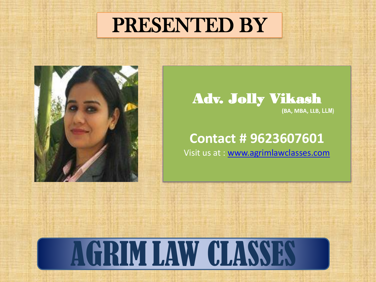### PRESENTED BY



#### Adv. Jolly Vikash **(BA, MBA, LLB, LLM)**

#### **Contact # 9623607601**

Visit us at : [www.agrimlawclasses.com](http://www.agrimlawclasses.com/)

# AGRIM LAW CLASSES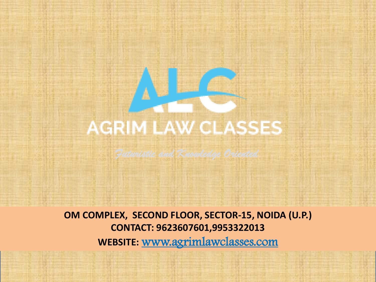# **AGRIM LAW CLASSES**

*Futuristic and Knowledge Oriented*

**OM COMPLEX, SECOND FLOOR, SECTOR-15, NOIDA (U.P.) CONTACT: 9623607601,9953322013 WEBSITE:** www.agrimlawclasses.com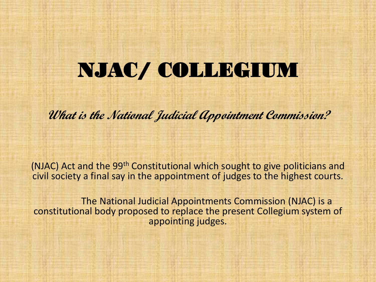### NJAC/ COLLEGIUM

**What is the National Judicial Appointment Commission?**

(NJAC) Act and the 99th Constitutional which sought to give politicians and civil society a final say in the appointment of judges to the highest courts.

The National Judicial Appointments Commission (NJAC) is a constitutional body proposed to replace the present Collegium system of appointing judges.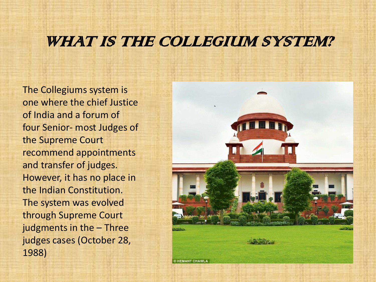### WHAT IS THE COLLEGIUM SYSTEM?

The Collegiums system is one where the chief Justice of India and a forum of four Senior- most Judges of the Supreme Court recommend appointments and transfer of judges. However, it has no place in the Indian Constitution. The system was evolved through Supreme Court judgments in the – Three judges cases (October 28, 1988)



© HEMANT CHAWLA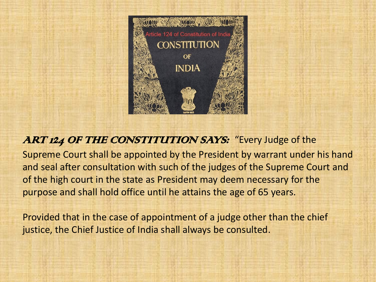

#### ART 124 OF THE CONSTITUTION SAYS: "Every Judge of the

Supreme Court shall be appointed by the President by warrant under his hand and seal after consultation with such of the judges of the Supreme Court and of the high court in the state as President may deem necessary for the purpose and shall hold office until he attains the age of 65 years.

Provided that in the case of appointment of a judge other than the chief justice, the Chief Justice of India shall always be consulted.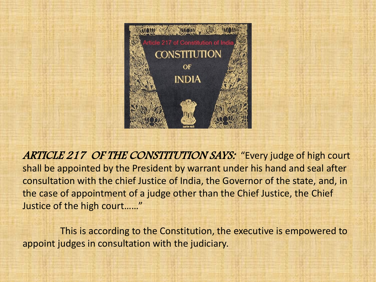

ARTICLE 217 OF THE CONSTITUTION SAYS: "Every judge of high court shall be appointed by the President by warrant under his hand and seal after consultation with the chief Justice of India, the Governor of the state, and, in the case of appointment of a judge other than the Chief Justice, the Chief Justice of the high court……"

This is according to the Constitution, the executive is empowered to appoint judges in consultation with the judiciary.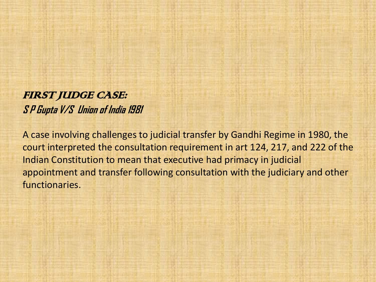FIRST JUDGE CASE: **S P Gupta V/S Union of India 1981**

A case involving challenges to judicial transfer by Gandhi Regime in 1980, the court interpreted the consultation requirement in art 124, 217, and 222 of the Indian Constitution to mean that executive had primacy in judicial appointment and transfer following consultation with the judiciary and other functionaries.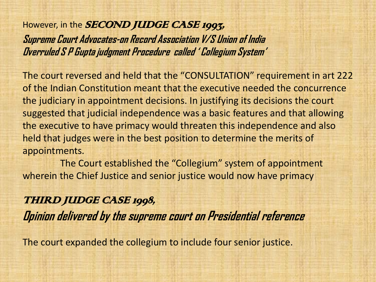However, in the **SECOND JUDGE CASE 1993**, **Supreme Court Advocates-on Record Association V/S Union of India Overruled S P Gupta judgment Procedure called ' Collegium System'**

The court reversed and held that the "CONSULTATION" requirement in art 222 of the Indian Constitution meant that the executive needed the concurrence the judiciary in appointment decisions. In justifying its decisions the court suggested that judicial independence was a basic features and that allowing the executive to have primacy would threaten this independence and also held that judges were in the best position to determine the merits of appointments.

The Court established the "Collegium" system of appointment wherein the Chief Justice and senior justice would now have primacy

THIRD JUDGE CASE 1998, **Opinion delivered by the supreme court on Presidential reference**

The court expanded the collegium to include four senior justice.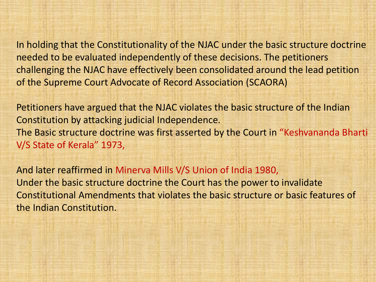In holding that the Constitutionality of the NJAC under the basic structure doctrine needed to be evaluated independently of these decisions. The petitioners challenging the NJAC have effectively been consolidated around the lead petition of the Supreme Court Advocate of Record Association (SCAORA)

Petitioners have argued that the NJAC violates the basic structure of the Indian Constitution by attacking judicial Independence. The Basic structure doctrine was first asserted by the Court in "Keshvananda Bharti V/S State of Kerala" 1973,

And later reaffirmed in Minerva Mills V/S Union of India 1980, Under the basic structure doctrine the Court has the power to invalidate Constitutional Amendments that violates the basic structure or basic features of the Indian Constitution.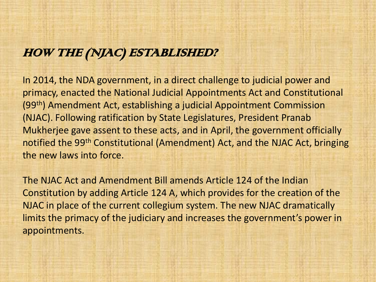#### HOW THE (NJAC) ESTABLISHED?

In 2014, the NDA government, in a direct challenge to judicial power and primacy, enacted the National Judicial Appointments Act and Constitutional (99th) Amendment Act, establishing a judicial Appointment Commission (NJAC). Following ratification by State Legislatures, President Pranab Mukherjee gave assent to these acts, and in April, the government officially notified the 99th Constitutional (Amendment) Act, and the NJAC Act, bringing the new laws into force.

The NJAC Act and Amendment Bill amends Article 124 of the Indian Constitution by adding Article 124 A, which provides for the creation of the NJAC in place of the current collegium system. The new NJAC dramatically limits the primacy of the judiciary and increases the government's power in appointments.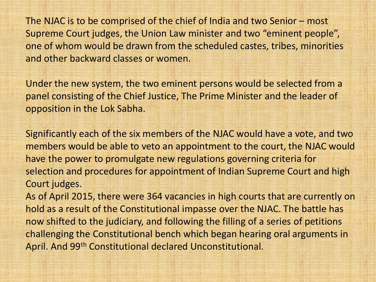The NJAC is to be comprised of the chief of India and two Senior – most Supreme Court judges, the Union Law minister and two "eminent people", one of whom would be drawn from the scheduled castes, tribes, minorities and other backward classes or women.

Under the new system, the two eminent persons would be selected from a panel consisting of the Chief Justice, The Prime Minister and the leader of opposition in the Lok Sabha.

Significantly each of the six members of the NJAC would have a vote, and two members would be able to veto an appointment to the court, the NJAC would have the power to promulgate new regulations governing criteria for selection and procedures for appointment of Indian Supreme Court and high Court judges.

As of April 2015, there were 364 vacancies in high courts that are currently on hold as a result of the Constitutional impasse over the NJAC. The battle has now shifted to the judiciary, and following the filling of a series of petitions challenging the Constitutional bench which began hearing oral arguments in April. And 99th Constitutional declared Unconstitutional.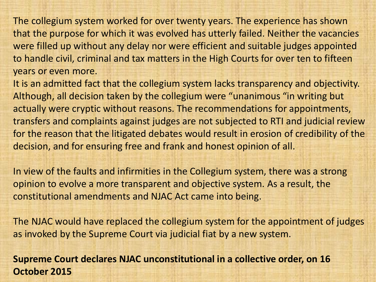The collegium system worked for over twenty years. The experience has shown that the purpose for which it was evolved has utterly failed. Neither the vacancies were filled up without any delay nor were efficient and suitable judges appointed to handle civil, criminal and tax matters in the High Courts for over ten to fifteen years or even more.

It is an admitted fact that the collegium system lacks transparency and objectivity. Although, all decision taken by the collegium were "unanimous "in writing but actually were cryptic without reasons. The recommendations for appointments, transfers and complaints against judges are not subjected to RTI and judicial review for the reason that the litigated debates would result in erosion of credibility of the decision, and for ensuring free and frank and honest opinion of all.

In view of the faults and infirmities in the Collegium system, there was a strong opinion to evolve a more transparent and objective system. As a result, the constitutional amendments and NJAC Act came into being.

The NJAC would have replaced the collegium system for the appointment of judges as invoked by the Supreme Court via judicial fiat by a new system.

**Supreme Court declares NJAC unconstitutional in a collective order, on 16 October 2015**